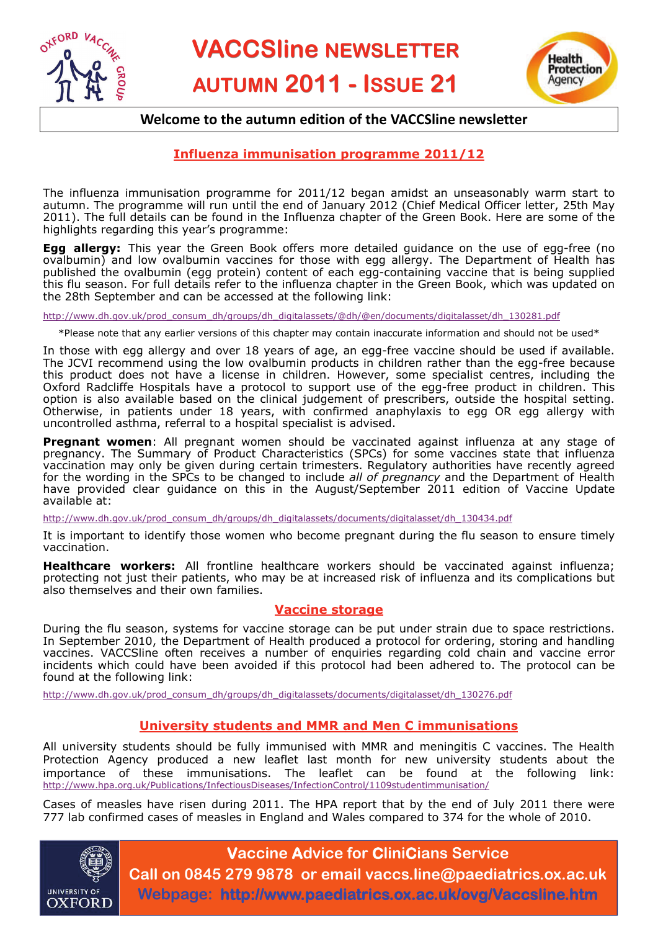



# **Welcome to the autumn edition of the VACCSline newsletter**

## **Influenza immunisation programme 2011/12**

The influenza immunisation programme for 2011/12 began amidst an unseasonably warm start to autumn. The programme will run until the end of January 2012 (Chief Medical Officer letter, 25th May 2011). The full details can be found in the Influenza chapter of the Green Book. Here are some of the highlights regarding this year's programme:

**Egg allergy:** This year the Green Book offers more detailed guidance on the use of egg-free (no ovalbumin) and low ovalbumin vaccines for those with egg allergy. The Department of Health has published the ovalbumin (egg protein) content of each egg-containing vaccine that is being supplied this flu season. For full details refer to the influenza chapter in the Green Book, which was updated on the 28th September and can be accessed at the following link:

[http://www.dh.gov.uk/prod\\_consum\\_dh/groups/dh\\_digitalassets/@dh/@en/documents/digitalasset/dh\\_130281.pdf](http://www.dh.gov.uk/prod_consum_dh/groups/dh_digitalassets/@dh/@en/documents/digitalasset/dh_130281.pdf)

 $*$ Please note that any earlier versions of this chapter may contain inaccurate information and should not be used $*$ 

In those with egg allergy and over 18 years of age, an egg-free vaccine should be used if available. The JCVI recommend using the low ovalbumin products in children rather than the egg-free because this product does not have a license in children. However, some specialist centres, including the Oxford Radcliffe Hospitals have a protocol to support use of the egg-free product in children. This option is also available based on the clinical judgement of prescribers, outside the hospital setting. Otherwise, in patients under 18 years, with confirmed anaphylaxis to egg OR egg allergy with uncontrolled asthma, referral to a hospital specialist is advised.

**Pregnant women**: All pregnant women should be vaccinated against influenza at any stage of pregnancy. The Summary of Product Characteristics (SPCs) for some vaccines state that influenza vaccination may only be given during certain trimesters. Regulatory authorities have recently agreed for the wording in the SPCs to be changed to include *all of pregnancy* and the Department of Health have provided clear guidance on this in the August/September 2011 edition of Vaccine Update available at:

[http://www.dh.gov.uk/prod\\_consum\\_dh/groups/dh\\_digitalassets/documents/digitalasset/dh\\_130434.pdf](http://www.dh.gov.uk/prod_consum_dh/groups/dh_digitalassets/documents/digitalasset/dh_130434.pdf)

It is important to identify those women who become pregnant during the flu season to ensure timely vaccination.

**Healthcare workers:** All frontline healthcare workers should be vaccinated against influenza; protecting not just their patients, who may be at increased risk of influenza and its complications but also themselves and their own families.

#### **Vaccine storage**

During the flu season, systems for vaccine storage can be put under strain due to space restrictions. In September 2010, the Department of Health produced a protocol for ordering, storing and handling vaccines. VACCSline often receives a number of enquiries regarding cold chain and vaccine error incidents which could have been avoided if this protocol had been adhered to. The protocol can be found at the following link:

[http://www.dh.gov.uk/prod\\_consum\\_dh/groups/dh\\_digitalassets/documents/digitalasset/dh\\_130276.pdf](http://www.dh.gov.uk/prod_consum_dh/groups/dh_digitalassets/documents/digitalasset/dh_130276.pdf)

## **University students and MMR and Men C immunisations**

All university students should be fully immunised with MMR and meningitis C vaccines. The Health Protection Agency produced a new leaflet last month for new university students about the importance of these immunisations. The leaflet can be found at the following link: <http://www.hpa.org.uk/Publications/InfectiousDiseases/InfectionControl/1109studentimmunisation/>

Cases of measles have risen during 2011. The HPA report that by the end of July 2011 there were 777 lab confirmed cases of measles in England and Wales compared to 374 for the whole of 2010.



# **Vaccine Advice for CliniCians Service Call on 0845 279 9878 or email vaccs.line@paediatrics.ox.ac.uk**

**Webpage: http://www.paediatrics.ox.ac.uk/ovg/Vaccsline.htm**